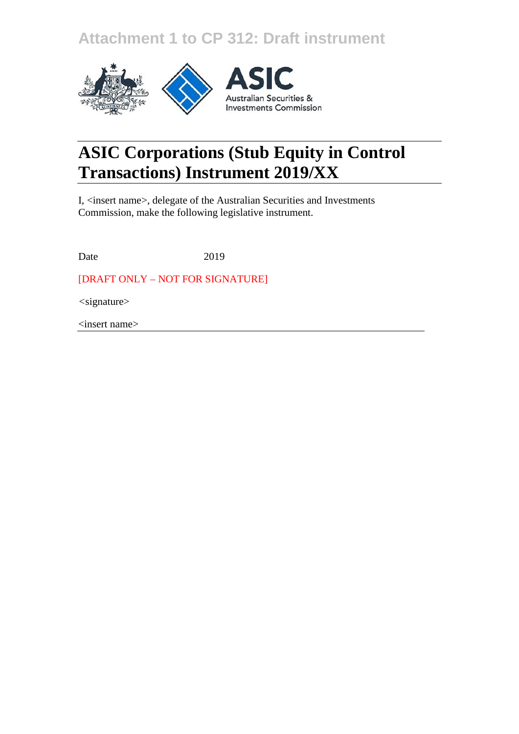**Attachment 1 to CP 312: Draft instrument**



# **ASIC Corporations (Stub Equity in Control Transactions) Instrument 2019/XX**

I, <insert name>, delegate of the Australian Securities and Investments Commission, make the following legislative instrument.

Date 2019

[DRAFT ONLY – NOT FOR SIGNATURE]

*<*signature>

<insert name>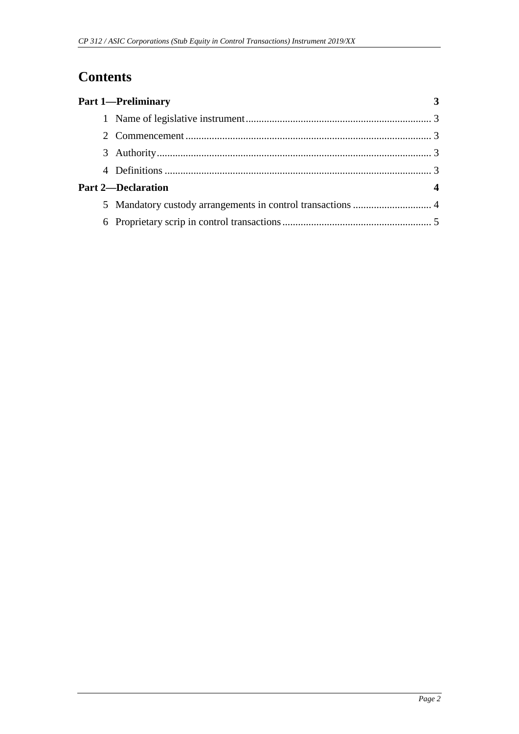## **Contents**

| <b>Part 1-Preliminary</b> |  |
|---------------------------|--|
|                           |  |
|                           |  |
|                           |  |
|                           |  |
| <b>Part 2-Declaration</b> |  |
|                           |  |
|                           |  |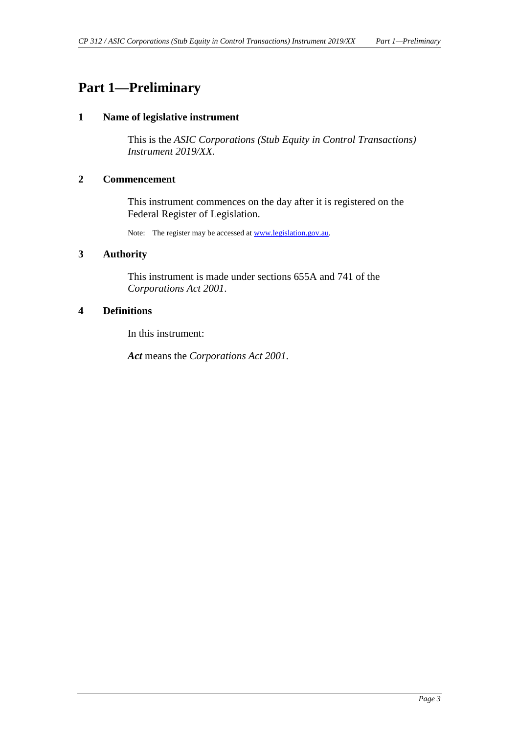## <span id="page-2-1"></span><span id="page-2-0"></span>**Part 1—Preliminary**

#### **1 Name of legislative instrument**

This is the *ASIC Corporations (Stub Equity in Control Transactions) Instrument 2019/XX*.

#### <span id="page-2-2"></span>**2 Commencement**

This instrument commences on the day after it is registered on the Federal Register of Legislation.

Note: The register may be accessed a[t www.legislation.gov.au.](http://www.legislation.gov.au/)

#### <span id="page-2-3"></span>**3 Authority**

This instrument is made under sections 655A and 741 of the *Corporations Act 2001*.

#### <span id="page-2-4"></span>**4 Definitions**

In this instrument:

*Act* means the *Corporations Act 2001*.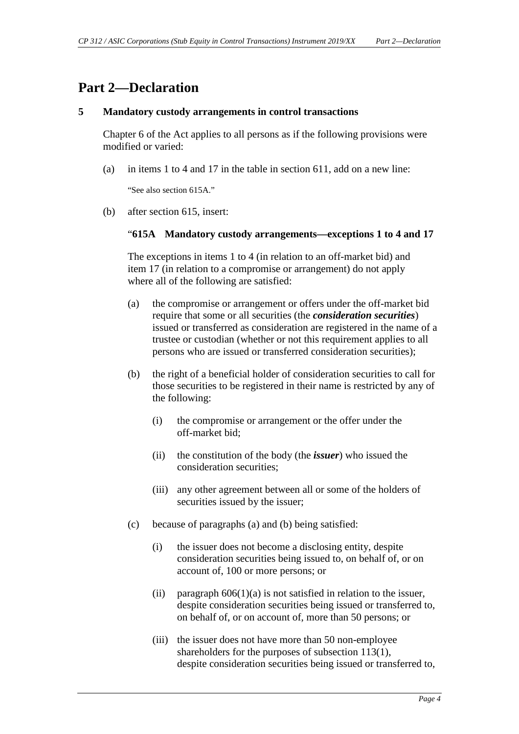### <span id="page-3-0"></span>**Part 2—Declaration**

#### <span id="page-3-1"></span>**5 Mandatory custody arrangements in control transactions**

Chapter 6 of the Act applies to all persons as if the following provisions were modified or varied:

(a) in items 1 to 4 and 17 in the table in section 611, add on a new line:

"See also section 615A."

(b) after section 615, insert:

#### "**615A Mandatory custody arrangements—exceptions 1 to 4 and 17**

The exceptions in items 1 to 4 (in relation to an off-market bid) and item 17 (in relation to a compromise or arrangement) do not apply where all of the following are satisfied:

- (a) the compromise or arrangement or offers under the off-market bid require that some or all securities (the *consideration securities*) issued or transferred as consideration are registered in the name of a trustee or custodian (whether or not this requirement applies to all persons who are issued or transferred consideration securities);
- (b) the right of a beneficial holder of consideration securities to call for those securities to be registered in their name is restricted by any of the following:
	- (i) the compromise or arrangement or the offer under the off-market bid;
	- (ii) the constitution of the body (the *issuer*) who issued the consideration securities;
	- (iii) any other agreement between all or some of the holders of securities issued by the issuer;
- (c) because of paragraphs (a) and (b) being satisfied:
	- (i) the issuer does not become a disclosing entity, despite consideration securities being issued to, on behalf of, or on account of, 100 or more persons; or
	- (ii) paragraph  $606(1)(a)$  is not satisfied in relation to the issuer, despite consideration securities being issued or transferred to, on behalf of, or on account of, more than 50 persons; or
	- (iii) the issuer does not have more than 50 non-employee shareholders for the purposes of subsection 113(1), despite consideration securities being issued or transferred to,